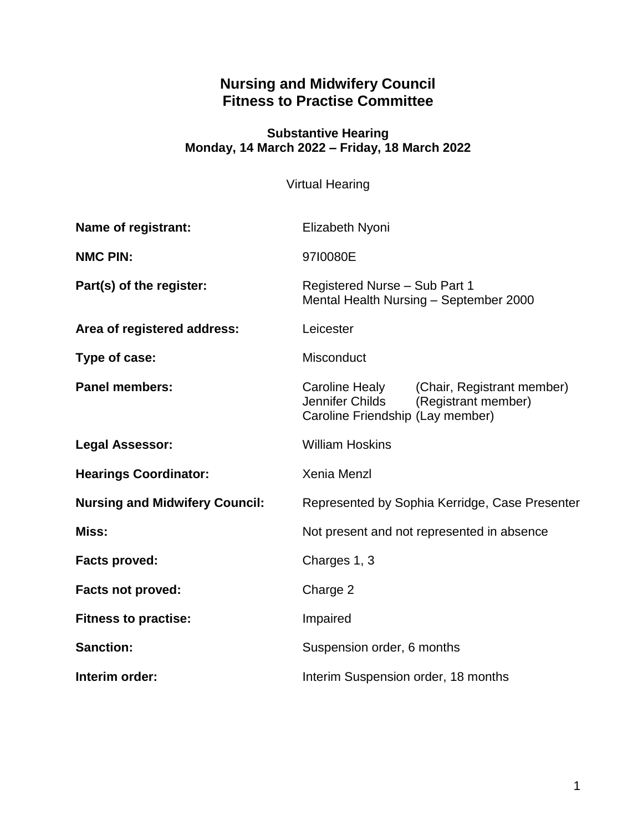# **Nursing and Midwifery Council Fitness to Practise Committee**

#### **Substantive Hearing Monday, 14 March 2022 – Friday, 18 March 2022**

Virtual Hearing

| <b>Name of registrant:</b>            | Elizabeth Nyoni                                                                                                      |
|---------------------------------------|----------------------------------------------------------------------------------------------------------------------|
| <b>NMC PIN:</b>                       | 9710080E                                                                                                             |
| Part(s) of the register:              | Registered Nurse - Sub Part 1<br>Mental Health Nursing - September 2000                                              |
| Area of registered address:           | Leicester                                                                                                            |
| Type of case:                         | <b>Misconduct</b>                                                                                                    |
| <b>Panel members:</b>                 | Caroline Healy (Chair, Registrant member)<br>Jennifer Childs (Registrant member)<br>Caroline Friendship (Lay member) |
| <b>Legal Assessor:</b>                | <b>William Hoskins</b>                                                                                               |
| <b>Hearings Coordinator:</b>          | <b>Xenia Menzl</b>                                                                                                   |
| <b>Nursing and Midwifery Council:</b> | Represented by Sophia Kerridge, Case Presenter                                                                       |
| Miss:                                 | Not present and not represented in absence                                                                           |
| <b>Facts proved:</b>                  | Charges 1, 3                                                                                                         |
| <b>Facts not proved:</b>              | Charge 2                                                                                                             |
| <b>Fitness to practise:</b>           | Impaired                                                                                                             |
| <b>Sanction:</b>                      | Suspension order, 6 months                                                                                           |
| Interim order:                        | Interim Suspension order, 18 months                                                                                  |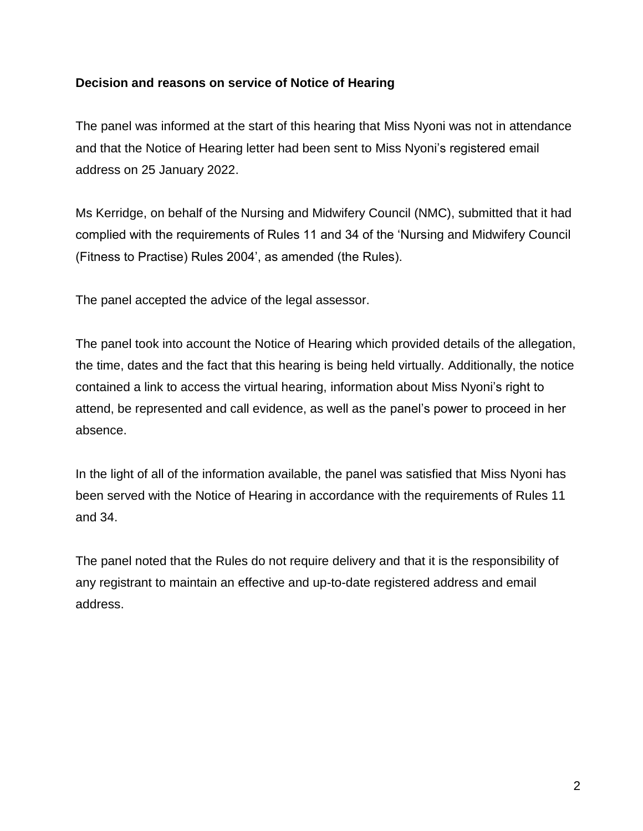## **Decision and reasons on service of Notice of Hearing**

The panel was informed at the start of this hearing that Miss Nyoni was not in attendance and that the Notice of Hearing letter had been sent to Miss Nyoni's registered email address on 25 January 2022.

Ms Kerridge, on behalf of the Nursing and Midwifery Council (NMC), submitted that it had complied with the requirements of Rules 11 and 34 of the 'Nursing and Midwifery Council (Fitness to Practise) Rules 2004', as amended (the Rules).

The panel accepted the advice of the legal assessor.

The panel took into account the Notice of Hearing which provided details of the allegation, the time, dates and the fact that this hearing is being held virtually. Additionally, the notice contained a link to access the virtual hearing, information about Miss Nyoni's right to attend, be represented and call evidence, as well as the panel's power to proceed in her absence.

In the light of all of the information available, the panel was satisfied that Miss Nyoni has been served with the Notice of Hearing in accordance with the requirements of Rules 11 and 34.

The panel noted that the Rules do not require delivery and that it is the responsibility of any registrant to maintain an effective and up-to-date registered address and email address.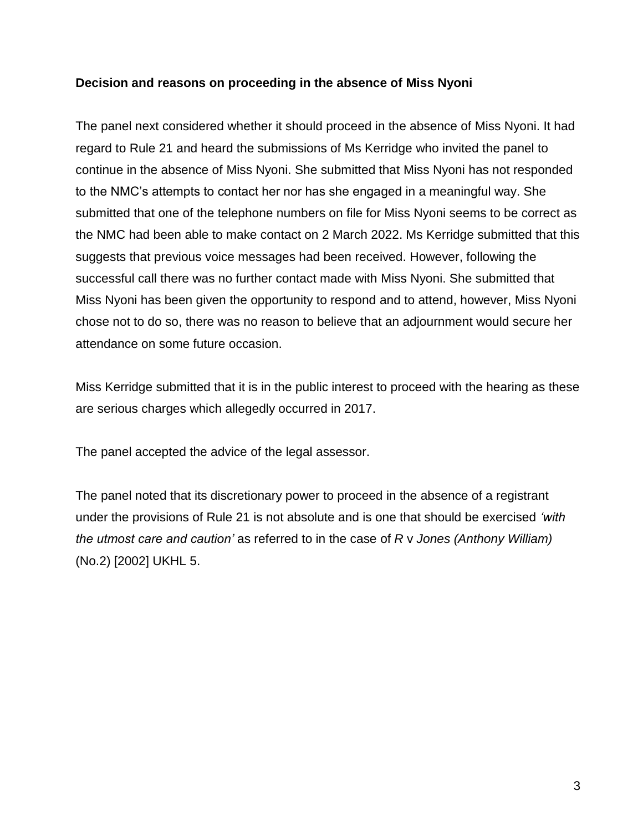#### **Decision and reasons on proceeding in the absence of Miss Nyoni**

The panel next considered whether it should proceed in the absence of Miss Nyoni. It had regard to Rule 21 and heard the submissions of Ms Kerridge who invited the panel to continue in the absence of Miss Nyoni. She submitted that Miss Nyoni has not responded to the NMC's attempts to contact her nor has she engaged in a meaningful way. She submitted that one of the telephone numbers on file for Miss Nyoni seems to be correct as the NMC had been able to make contact on 2 March 2022. Ms Kerridge submitted that this suggests that previous voice messages had been received. However, following the successful call there was no further contact made with Miss Nyoni. She submitted that Miss Nyoni has been given the opportunity to respond and to attend, however, Miss Nyoni chose not to do so, there was no reason to believe that an adjournment would secure her attendance on some future occasion.

Miss Kerridge submitted that it is in the public interest to proceed with the hearing as these are serious charges which allegedly occurred in 2017.

The panel accepted the advice of the legal assessor.

The panel noted that its discretionary power to proceed in the absence of a registrant under the provisions of Rule 21 is not absolute and is one that should be exercised *'with the utmost care and caution'* as referred to in the case of *R* v *Jones (Anthony William)* (No.2) [2002] UKHL 5.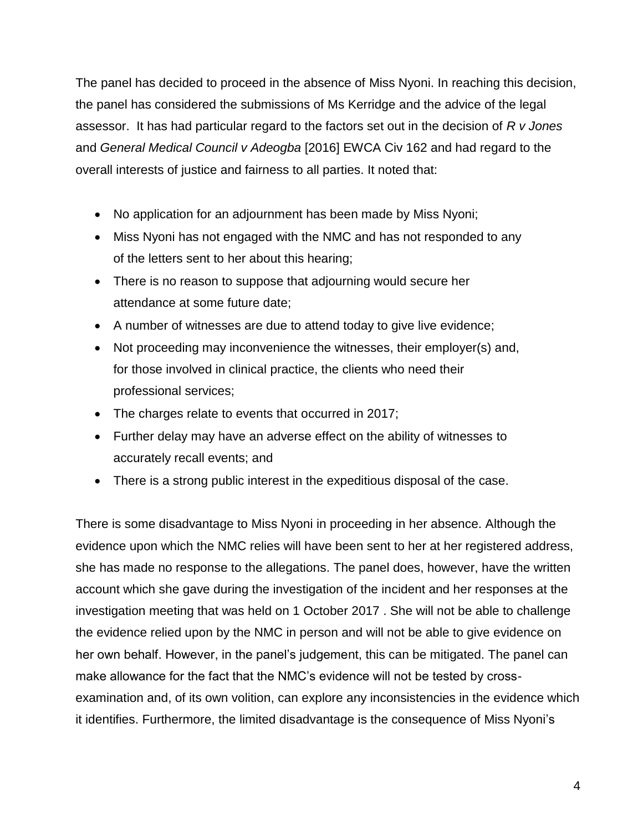The panel has decided to proceed in the absence of Miss Nyoni. In reaching this decision, the panel has considered the submissions of Ms Kerridge and the advice of the legal assessor. It has had particular regard to the factors set out in the decision of *R v Jones*  and *General Medical Council v Adeogba* [2016] EWCA Civ 162 and had regard to the overall interests of justice and fairness to all parties. It noted that:

- No application for an adjournment has been made by Miss Nyoni;
- Miss Nyoni has not engaged with the NMC and has not responded to any of the letters sent to her about this hearing;
- There is no reason to suppose that adjourning would secure her attendance at some future date;
- A number of witnesses are due to attend today to give live evidence;
- Not proceeding may inconvenience the witnesses, their employer(s) and, for those involved in clinical practice, the clients who need their professional services;
- The charges relate to events that occurred in 2017;
- Further delay may have an adverse effect on the ability of witnesses to accurately recall events; and
- There is a strong public interest in the expeditious disposal of the case.

There is some disadvantage to Miss Nyoni in proceeding in her absence. Although the evidence upon which the NMC relies will have been sent to her at her registered address, she has made no response to the allegations. The panel does, however, have the written account which she gave during the investigation of the incident and her responses at the investigation meeting that was held on 1 October 2017 . She will not be able to challenge the evidence relied upon by the NMC in person and will not be able to give evidence on her own behalf. However, in the panel's judgement, this can be mitigated. The panel can make allowance for the fact that the NMC's evidence will not be tested by crossexamination and, of its own volition, can explore any inconsistencies in the evidence which it identifies. Furthermore, the limited disadvantage is the consequence of Miss Nyoni's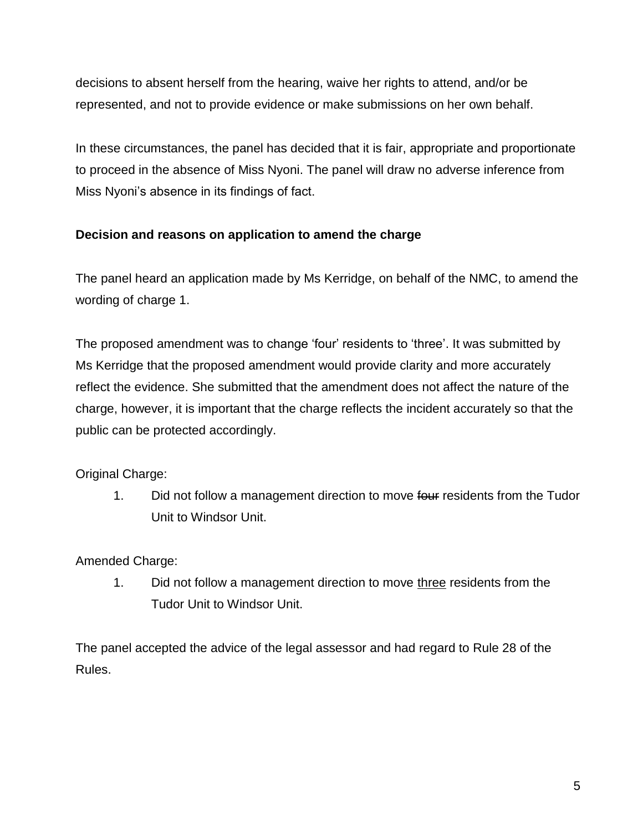decisions to absent herself from the hearing, waive her rights to attend, and/or be represented, and not to provide evidence or make submissions on her own behalf.

In these circumstances, the panel has decided that it is fair, appropriate and proportionate to proceed in the absence of Miss Nyoni. The panel will draw no adverse inference from Miss Nyoni's absence in its findings of fact.

# **Decision and reasons on application to amend the charge**

The panel heard an application made by Ms Kerridge, on behalf of the NMC, to amend the wording of charge 1.

The proposed amendment was to change 'four' residents to 'three'. It was submitted by Ms Kerridge that the proposed amendment would provide clarity and more accurately reflect the evidence. She submitted that the amendment does not affect the nature of the charge, however, it is important that the charge reflects the incident accurately so that the public can be protected accordingly.

Original Charge:

1. Did not follow a management direction to move four residents from the Tudor Unit to Windsor Unit.

Amended Charge:

1. Did not follow a management direction to move three residents from the Tudor Unit to Windsor Unit.

The panel accepted the advice of the legal assessor and had regard to Rule 28 of the Rules.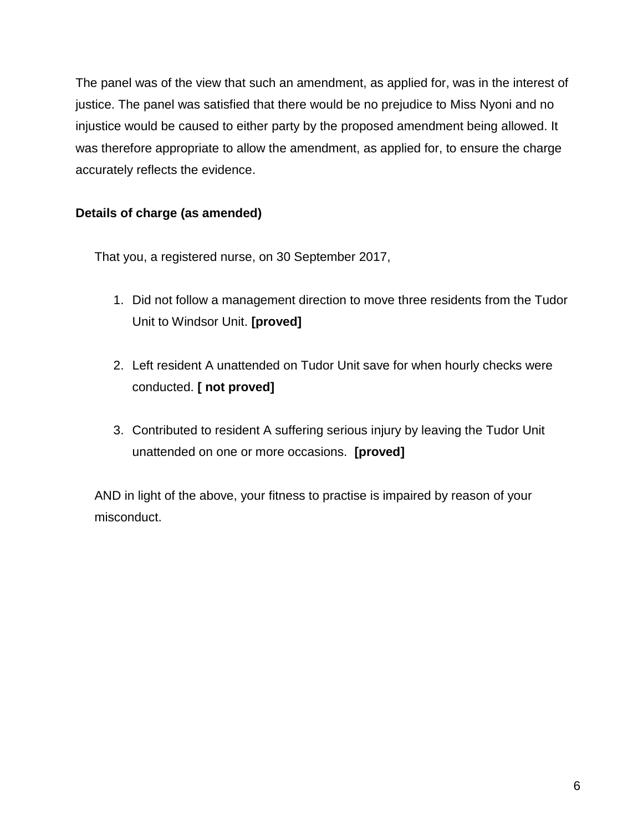The panel was of the view that such an amendment, as applied for, was in the interest of justice. The panel was satisfied that there would be no prejudice to Miss Nyoni and no injustice would be caused to either party by the proposed amendment being allowed. It was therefore appropriate to allow the amendment, as applied for, to ensure the charge accurately reflects the evidence.

# **Details of charge (as amended)**

That you, a registered nurse, on 30 September 2017,

- 1. Did not follow a management direction to move three residents from the Tudor Unit to Windsor Unit. **[proved]**
- 2. Left resident A unattended on Tudor Unit save for when hourly checks were conducted. **[ not proved]**
- 3. Contributed to resident A suffering serious injury by leaving the Tudor Unit unattended on one or more occasions. **[proved]**

AND in light of the above, your fitness to practise is impaired by reason of your misconduct.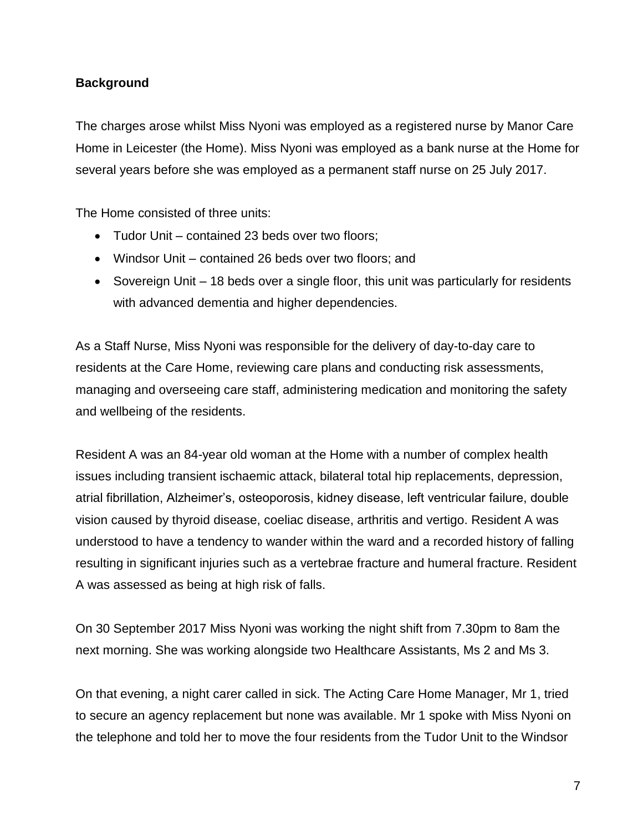# **Background**

The charges arose whilst Miss Nyoni was employed as a registered nurse by Manor Care Home in Leicester (the Home). Miss Nyoni was employed as a bank nurse at the Home for several years before she was employed as a permanent staff nurse on 25 July 2017.

The Home consisted of three units:

- Tudor Unit contained 23 beds over two floors;
- Windsor Unit contained 26 beds over two floors; and
- Sovereign Unit 18 beds over a single floor, this unit was particularly for residents with advanced dementia and higher dependencies.

As a Staff Nurse, Miss Nyoni was responsible for the delivery of day-to-day care to residents at the Care Home, reviewing care plans and conducting risk assessments, managing and overseeing care staff, administering medication and monitoring the safety and wellbeing of the residents.

Resident A was an 84-year old woman at the Home with a number of complex health issues including transient ischaemic attack, bilateral total hip replacements, depression, atrial fibrillation, Alzheimer's, osteoporosis, kidney disease, left ventricular failure, double vision caused by thyroid disease, coeliac disease, arthritis and vertigo. Resident A was understood to have a tendency to wander within the ward and a recorded history of falling resulting in significant injuries such as a vertebrae fracture and humeral fracture. Resident A was assessed as being at high risk of falls.

On 30 September 2017 Miss Nyoni was working the night shift from 7.30pm to 8am the next morning. She was working alongside two Healthcare Assistants, Ms 2 and Ms 3.

On that evening, a night carer called in sick. The Acting Care Home Manager, Mr 1, tried to secure an agency replacement but none was available. Mr 1 spoke with Miss Nyoni on the telephone and told her to move the four residents from the Tudor Unit to the Windsor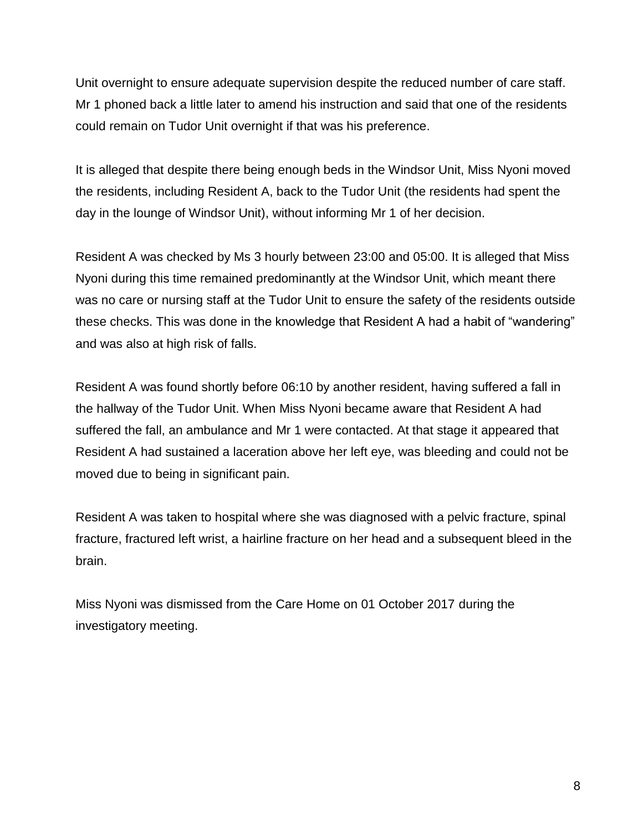Unit overnight to ensure adequate supervision despite the reduced number of care staff. Mr 1 phoned back a little later to amend his instruction and said that one of the residents could remain on Tudor Unit overnight if that was his preference.

It is alleged that despite there being enough beds in the Windsor Unit, Miss Nyoni moved the residents, including Resident A, back to the Tudor Unit (the residents had spent the day in the lounge of Windsor Unit), without informing Mr 1 of her decision.

Resident A was checked by Ms 3 hourly between 23:00 and 05:00. It is alleged that Miss Nyoni during this time remained predominantly at the Windsor Unit, which meant there was no care or nursing staff at the Tudor Unit to ensure the safety of the residents outside these checks. This was done in the knowledge that Resident A had a habit of "wandering" and was also at high risk of falls.

Resident A was found shortly before 06:10 by another resident, having suffered a fall in the hallway of the Tudor Unit. When Miss Nyoni became aware that Resident A had suffered the fall, an ambulance and Mr 1 were contacted. At that stage it appeared that Resident A had sustained a laceration above her left eye, was bleeding and could not be moved due to being in significant pain.

Resident A was taken to hospital where she was diagnosed with a pelvic fracture, spinal fracture, fractured left wrist, a hairline fracture on her head and a subsequent bleed in the brain.

Miss Nyoni was dismissed from the Care Home on 01 October 2017 during the investigatory meeting.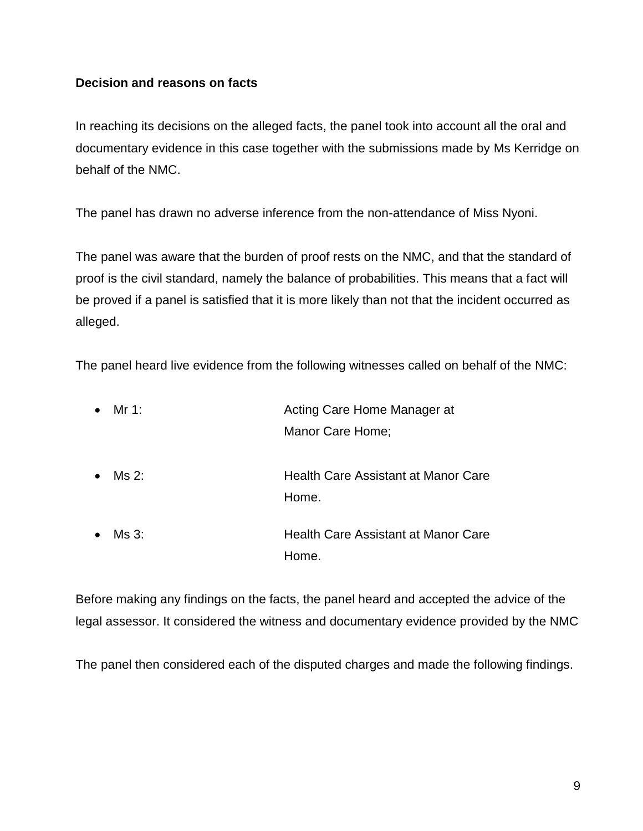#### **Decision and reasons on facts**

In reaching its decisions on the alleged facts, the panel took into account all the oral and documentary evidence in this case together with the submissions made by Ms Kerridge on behalf of the NMC.

The panel has drawn no adverse inference from the non-attendance of Miss Nyoni.

The panel was aware that the burden of proof rests on the NMC, and that the standard of proof is the civil standard, namely the balance of probabilities. This means that a fact will be proved if a panel is satisfied that it is more likely than not that the incident occurred as alleged.

The panel heard live evidence from the following witnesses called on behalf of the NMC:

| $\bullet$ | Mr 1: | Acting Care Home Manager at                  |  |
|-----------|-------|----------------------------------------------|--|
|           |       | Manor Care Home;                             |  |
| $\bullet$ | Ms 2: | Health Care Assistant at Manor Care<br>Home. |  |
| $\bullet$ | Ms 3: | <b>Health Care Assistant at Manor Care</b>   |  |
|           |       | Home.                                        |  |

Before making any findings on the facts, the panel heard and accepted the advice of the legal assessor. It considered the witness and documentary evidence provided by the NMC

The panel then considered each of the disputed charges and made the following findings.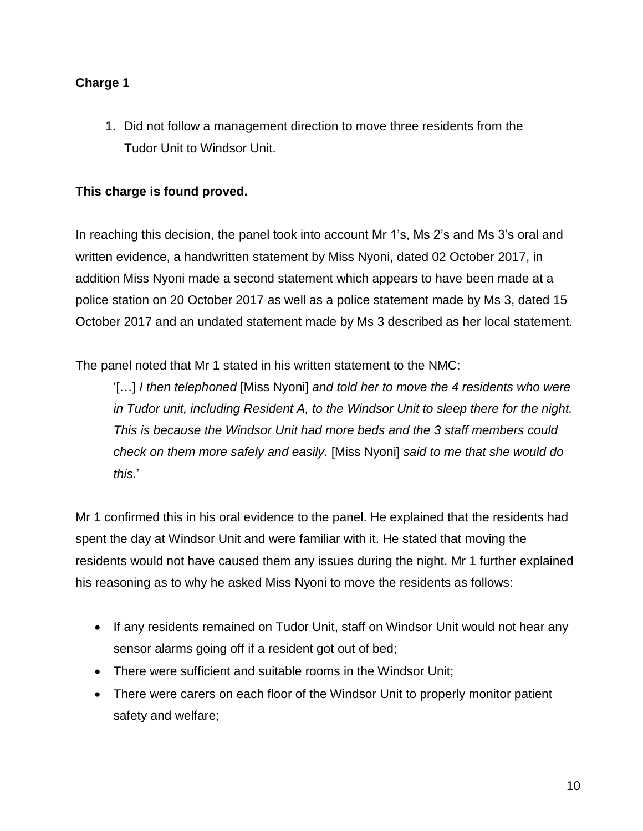# **Charge 1**

1. Did not follow a management direction to move three residents from the Tudor Unit to Windsor Unit.

# **This charge is found proved.**

In reaching this decision, the panel took into account Mr 1's, Ms 2's and Ms 3's oral and written evidence, a handwritten statement by Miss Nyoni, dated 02 October 2017, in addition Miss Nyoni made a second statement which appears to have been made at a police station on 20 October 2017 as well as a police statement made by Ms 3, dated 15 October 2017 and an undated statement made by Ms 3 described as her local statement.

The panel noted that Mr 1 stated in his written statement to the NMC:

'[…] *I then telephoned* [Miss Nyoni] *and told her to move the 4 residents who were in Tudor unit, including Resident A, to the Windsor Unit to sleep there for the night. This is because the Windsor Unit had more beds and the 3 staff members could check on them more safely and easily.* [Miss Nyoni] *said to me that she would do this.*'

Mr 1 confirmed this in his oral evidence to the panel. He explained that the residents had spent the day at Windsor Unit and were familiar with it. He stated that moving the residents would not have caused them any issues during the night. Mr 1 further explained his reasoning as to why he asked Miss Nyoni to move the residents as follows:

- If any residents remained on Tudor Unit, staff on Windsor Unit would not hear any sensor alarms going off if a resident got out of bed;
- There were sufficient and suitable rooms in the Windsor Unit;
- There were carers on each floor of the Windsor Unit to properly monitor patient safety and welfare;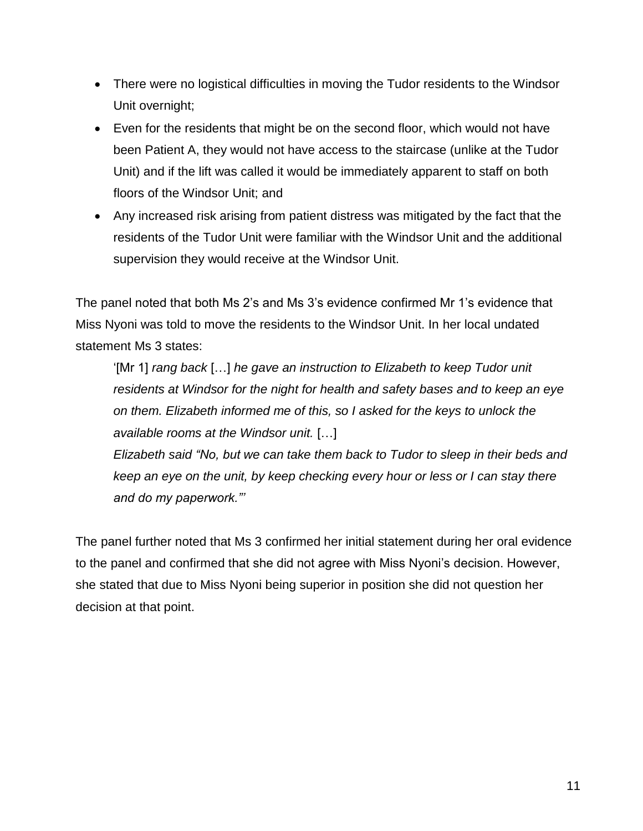- There were no logistical difficulties in moving the Tudor residents to the Windsor Unit overnight;
- Even for the residents that might be on the second floor, which would not have been Patient A, they would not have access to the staircase (unlike at the Tudor Unit) and if the lift was called it would be immediately apparent to staff on both floors of the Windsor Unit; and
- Any increased risk arising from patient distress was mitigated by the fact that the residents of the Tudor Unit were familiar with the Windsor Unit and the additional supervision they would receive at the Windsor Unit.

The panel noted that both Ms 2's and Ms 3's evidence confirmed Mr 1's evidence that Miss Nyoni was told to move the residents to the Windsor Unit. In her local undated statement Ms 3 states:

'[Mr 1] *rang back* […] *he gave an instruction to Elizabeth to keep Tudor unit residents at Windsor for the night for health and safety bases and to keep an eye on them. Elizabeth informed me of this, so I asked for the keys to unlock the available rooms at the Windsor unit.* […]

*Elizabeth said "No, but we can take them back to Tudor to sleep in their beds and keep an eye on the unit, by keep checking every hour or less or I can stay there and do my paperwork."'*

The panel further noted that Ms 3 confirmed her initial statement during her oral evidence to the panel and confirmed that she did not agree with Miss Nyoni's decision. However, she stated that due to Miss Nyoni being superior in position she did not question her decision at that point.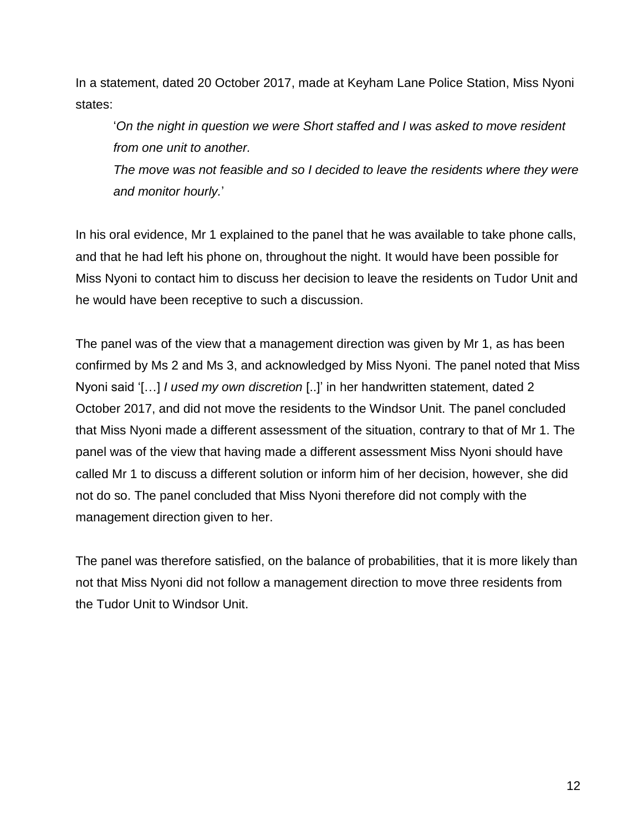In a statement, dated 20 October 2017, made at Keyham Lane Police Station, Miss Nyoni states:

'*On the night in question we were Short staffed and I was asked to move resident from one unit to another.* 

*The move was not feasible and so I decided to leave the residents where they were and monitor hourly.*'

In his oral evidence, Mr 1 explained to the panel that he was available to take phone calls, and that he had left his phone on, throughout the night. It would have been possible for Miss Nyoni to contact him to discuss her decision to leave the residents on Tudor Unit and he would have been receptive to such a discussion.

The panel was of the view that a management direction was given by Mr 1, as has been confirmed by Ms 2 and Ms 3, and acknowledged by Miss Nyoni. The panel noted that Miss Nyoni said '[…] *I used my own discretion* [..]' in her handwritten statement, dated 2 October 2017, and did not move the residents to the Windsor Unit. The panel concluded that Miss Nyoni made a different assessment of the situation, contrary to that of Mr 1. The panel was of the view that having made a different assessment Miss Nyoni should have called Mr 1 to discuss a different solution or inform him of her decision, however, she did not do so. The panel concluded that Miss Nyoni therefore did not comply with the management direction given to her.

The panel was therefore satisfied, on the balance of probabilities, that it is more likely than not that Miss Nyoni did not follow a management direction to move three residents from the Tudor Unit to Windsor Unit.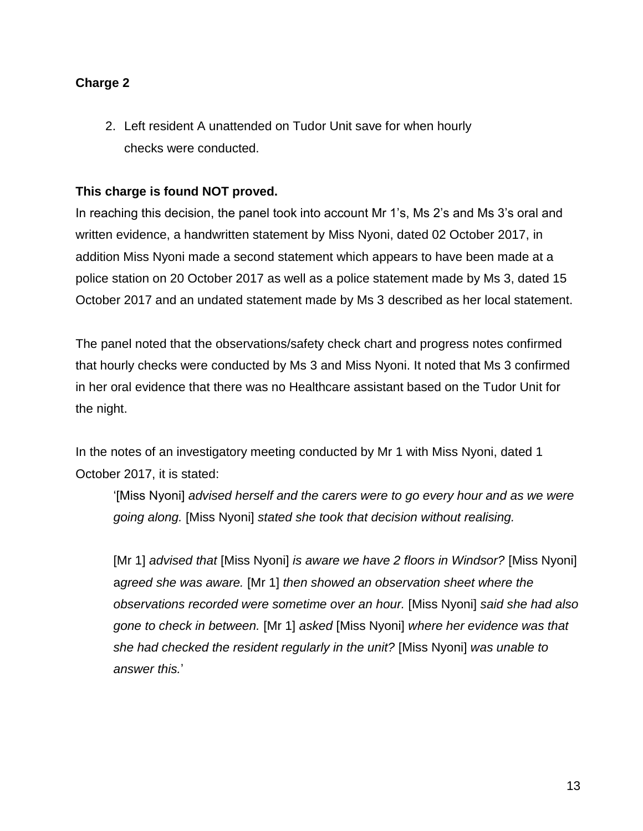# **Charge 2**

2. Left resident A unattended on Tudor Unit save for when hourly checks were conducted.

# **This charge is found NOT proved.**

In reaching this decision, the panel took into account Mr 1's, Ms 2's and Ms 3's oral and written evidence, a handwritten statement by Miss Nyoni, dated 02 October 2017, in addition Miss Nyoni made a second statement which appears to have been made at a police station on 20 October 2017 as well as a police statement made by Ms 3, dated 15 October 2017 and an undated statement made by Ms 3 described as her local statement.

The panel noted that the observations/safety check chart and progress notes confirmed that hourly checks were conducted by Ms 3 and Miss Nyoni. It noted that Ms 3 confirmed in her oral evidence that there was no Healthcare assistant based on the Tudor Unit for the night.

In the notes of an investigatory meeting conducted by Mr 1 with Miss Nyoni, dated 1 October 2017, it is stated:

'[Miss Nyoni] *advised herself and the carers were to go every hour and as we were going along.* [Miss Nyoni] *stated she took that decision without realising.* 

[Mr 1] *advised that* [Miss Nyoni] *is aware we have 2 floors in Windsor?* [Miss Nyoni] a*greed she was aware.* [Mr 1] *then showed an observation sheet where the observations recorded were sometime over an hour.* [Miss Nyoni] *said she had also gone to check in between.* [Mr 1] *asked* [Miss Nyoni] *where her evidence was that she had checked the resident regularly in the unit?* [Miss Nyoni] *was unable to answer this.*'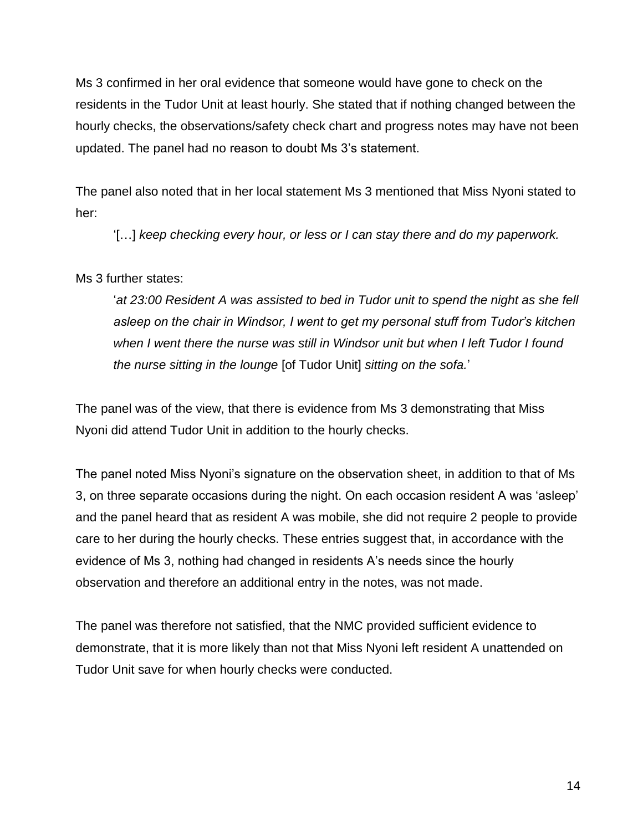Ms 3 confirmed in her oral evidence that someone would have gone to check on the residents in the Tudor Unit at least hourly. She stated that if nothing changed between the hourly checks, the observations/safety check chart and progress notes may have not been updated. The panel had no reason to doubt Ms 3's statement.

The panel also noted that in her local statement Ms 3 mentioned that Miss Nyoni stated to her:

'[…] *keep checking every hour, or less or I can stay there and do my paperwork.*

Ms 3 further states:

'*at 23:00 Resident A was assisted to bed in Tudor unit to spend the night as she fell*  asleep on the chair in Windsor, I went to get my personal stuff from Tudor's kitchen when I went there the nurse was still in Windsor unit but when I left Tudor I found *the nurse sitting in the lounge* [of Tudor Unit] *sitting on the sofa.*'

The panel was of the view, that there is evidence from Ms 3 demonstrating that Miss Nyoni did attend Tudor Unit in addition to the hourly checks.

The panel noted Miss Nyoni's signature on the observation sheet, in addition to that of Ms 3, on three separate occasions during the night. On each occasion resident A was 'asleep' and the panel heard that as resident A was mobile, she did not require 2 people to provide care to her during the hourly checks. These entries suggest that, in accordance with the evidence of Ms 3, nothing had changed in residents A's needs since the hourly observation and therefore an additional entry in the notes, was not made.

The panel was therefore not satisfied, that the NMC provided sufficient evidence to demonstrate, that it is more likely than not that Miss Nyoni left resident A unattended on Tudor Unit save for when hourly checks were conducted.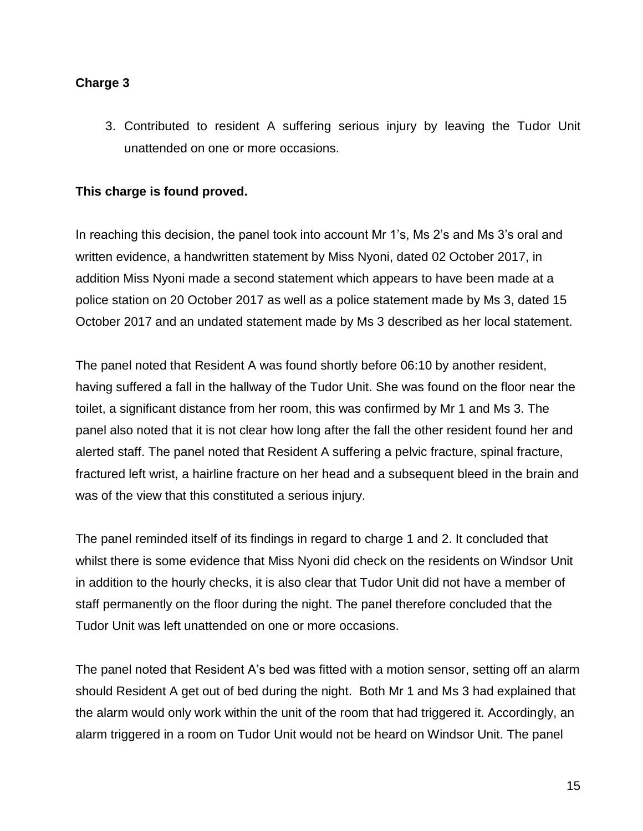# **Charge 3**

3. Contributed to resident A suffering serious injury by leaving the Tudor Unit unattended on one or more occasions.

# **This charge is found proved.**

In reaching this decision, the panel took into account Mr 1's, Ms 2's and Ms 3's oral and written evidence, a handwritten statement by Miss Nyoni, dated 02 October 2017, in addition Miss Nyoni made a second statement which appears to have been made at a police station on 20 October 2017 as well as a police statement made by Ms 3, dated 15 October 2017 and an undated statement made by Ms 3 described as her local statement.

The panel noted that Resident A was found shortly before 06:10 by another resident, having suffered a fall in the hallway of the Tudor Unit. She was found on the floor near the toilet, a significant distance from her room, this was confirmed by Mr 1 and Ms 3. The panel also noted that it is not clear how long after the fall the other resident found her and alerted staff. The panel noted that Resident A suffering a pelvic fracture, spinal fracture, fractured left wrist, a hairline fracture on her head and a subsequent bleed in the brain and was of the view that this constituted a serious injury.

The panel reminded itself of its findings in regard to charge 1 and 2. It concluded that whilst there is some evidence that Miss Nyoni did check on the residents on Windsor Unit in addition to the hourly checks, it is also clear that Tudor Unit did not have a member of staff permanently on the floor during the night. The panel therefore concluded that the Tudor Unit was left unattended on one or more occasions.

The panel noted that Resident A's bed was fitted with a motion sensor, setting off an alarm should Resident A get out of bed during the night. Both Mr 1 and Ms 3 had explained that the alarm would only work within the unit of the room that had triggered it. Accordingly, an alarm triggered in a room on Tudor Unit would not be heard on Windsor Unit. The panel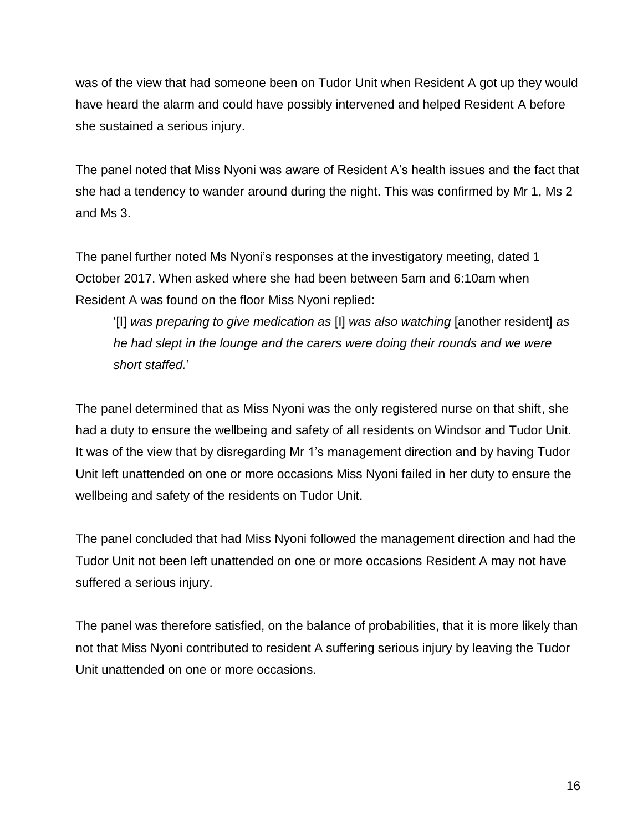was of the view that had someone been on Tudor Unit when Resident A got up they would have heard the alarm and could have possibly intervened and helped Resident A before she sustained a serious injury.

The panel noted that Miss Nyoni was aware of Resident A's health issues and the fact that she had a tendency to wander around during the night. This was confirmed by Mr 1, Ms 2 and Ms 3.

The panel further noted Ms Nyoni's responses at the investigatory meeting, dated 1 October 2017. When asked where she had been between 5am and 6:10am when Resident A was found on the floor Miss Nyoni replied:

'[I] *was preparing to give medication as* [I] *was also watching* [another resident] *as he had slept in the lounge and the carers were doing their rounds and we were short staffed.*'

The panel determined that as Miss Nyoni was the only registered nurse on that shift, she had a duty to ensure the wellbeing and safety of all residents on Windsor and Tudor Unit. It was of the view that by disregarding Mr 1's management direction and by having Tudor Unit left unattended on one or more occasions Miss Nyoni failed in her duty to ensure the wellbeing and safety of the residents on Tudor Unit.

The panel concluded that had Miss Nyoni followed the management direction and had the Tudor Unit not been left unattended on one or more occasions Resident A may not have suffered a serious injury.

The panel was therefore satisfied, on the balance of probabilities, that it is more likely than not that Miss Nyoni contributed to resident A suffering serious injury by leaving the Tudor Unit unattended on one or more occasions.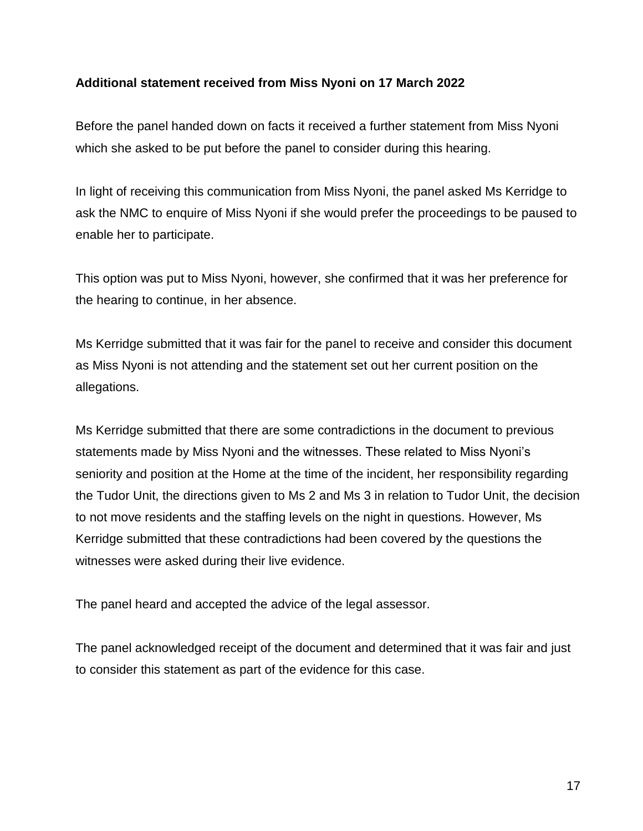#### **Additional statement received from Miss Nyoni on 17 March 2022**

Before the panel handed down on facts it received a further statement from Miss Nyoni which she asked to be put before the panel to consider during this hearing.

In light of receiving this communication from Miss Nyoni, the panel asked Ms Kerridge to ask the NMC to enquire of Miss Nyoni if she would prefer the proceedings to be paused to enable her to participate.

This option was put to Miss Nyoni, however, she confirmed that it was her preference for the hearing to continue, in her absence.

Ms Kerridge submitted that it was fair for the panel to receive and consider this document as Miss Nyoni is not attending and the statement set out her current position on the allegations.

Ms Kerridge submitted that there are some contradictions in the document to previous statements made by Miss Nyoni and the witnesses. These related to Miss Nyoni's seniority and position at the Home at the time of the incident, her responsibility regarding the Tudor Unit, the directions given to Ms 2 and Ms 3 in relation to Tudor Unit, the decision to not move residents and the staffing levels on the night in questions. However, Ms Kerridge submitted that these contradictions had been covered by the questions the witnesses were asked during their live evidence.

The panel heard and accepted the advice of the legal assessor.

The panel acknowledged receipt of the document and determined that it was fair and just to consider this statement as part of the evidence for this case.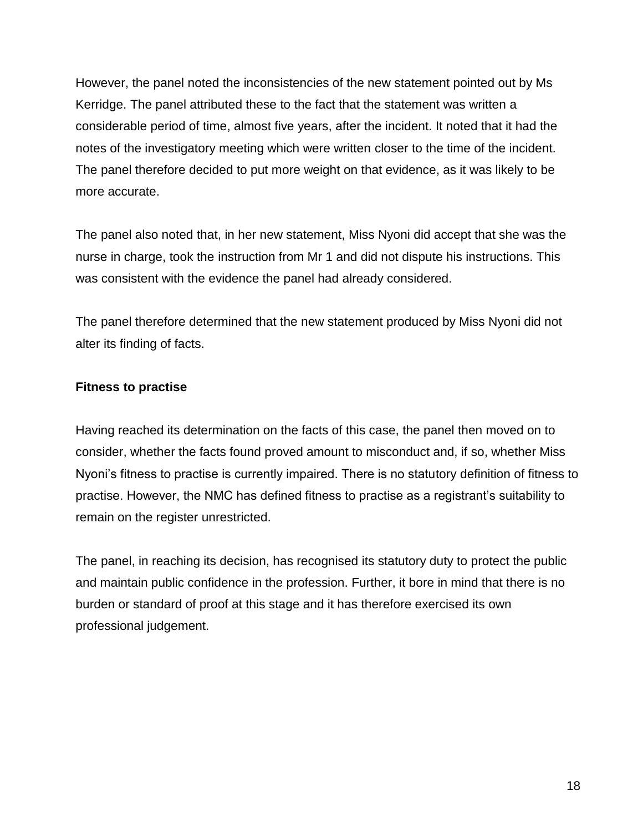However, the panel noted the inconsistencies of the new statement pointed out by Ms Kerridge. The panel attributed these to the fact that the statement was written a considerable period of time, almost five years, after the incident. It noted that it had the notes of the investigatory meeting which were written closer to the time of the incident. The panel therefore decided to put more weight on that evidence, as it was likely to be more accurate.

The panel also noted that, in her new statement, Miss Nyoni did accept that she was the nurse in charge, took the instruction from Mr 1 and did not dispute his instructions. This was consistent with the evidence the panel had already considered.

The panel therefore determined that the new statement produced by Miss Nyoni did not alter its finding of facts.

# **Fitness to practise**

Having reached its determination on the facts of this case, the panel then moved on to consider, whether the facts found proved amount to misconduct and, if so, whether Miss Nyoni's fitness to practise is currently impaired. There is no statutory definition of fitness to practise. However, the NMC has defined fitness to practise as a registrant's suitability to remain on the register unrestricted.

The panel, in reaching its decision, has recognised its statutory duty to protect the public and maintain public confidence in the profession. Further, it bore in mind that there is no burden or standard of proof at this stage and it has therefore exercised its own professional judgement.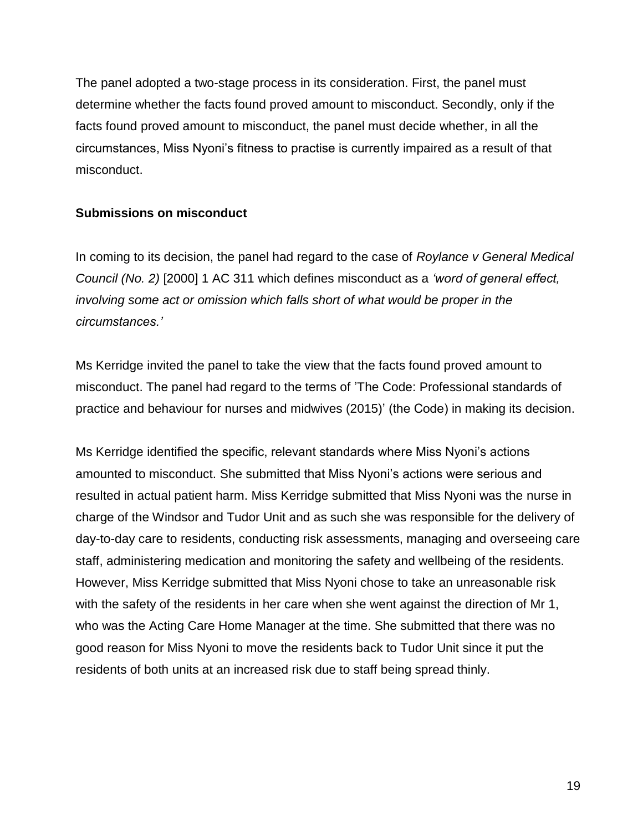The panel adopted a two-stage process in its consideration. First, the panel must determine whether the facts found proved amount to misconduct. Secondly, only if the facts found proved amount to misconduct, the panel must decide whether, in all the circumstances, Miss Nyoni's fitness to practise is currently impaired as a result of that misconduct.

# **Submissions on misconduct**

In coming to its decision, the panel had regard to the case of *Roylance v General Medical Council (No. 2)* [2000] 1 AC 311 which defines misconduct as a *'word of general effect, involving some act or omission which falls short of what would be proper in the circumstances.'*

Ms Kerridge invited the panel to take the view that the facts found proved amount to misconduct. The panel had regard to the terms of 'The Code: Professional standards of practice and behaviour for nurses and midwives (2015)' (the Code) in making its decision.

Ms Kerridge identified the specific, relevant standards where Miss Nyoni's actions amounted to misconduct. She submitted that Miss Nyoni's actions were serious and resulted in actual patient harm. Miss Kerridge submitted that Miss Nyoni was the nurse in charge of the Windsor and Tudor Unit and as such she was responsible for the delivery of day-to-day care to residents, conducting risk assessments, managing and overseeing care staff, administering medication and monitoring the safety and wellbeing of the residents. However, Miss Kerridge submitted that Miss Nyoni chose to take an unreasonable risk with the safety of the residents in her care when she went against the direction of Mr 1, who was the Acting Care Home Manager at the time. She submitted that there was no good reason for Miss Nyoni to move the residents back to Tudor Unit since it put the residents of both units at an increased risk due to staff being spread thinly.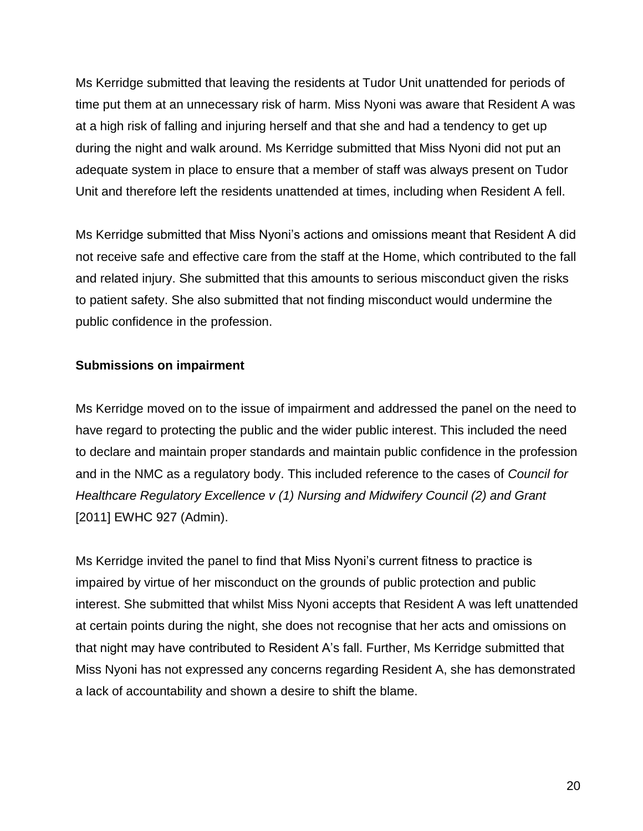Ms Kerridge submitted that leaving the residents at Tudor Unit unattended for periods of time put them at an unnecessary risk of harm. Miss Nyoni was aware that Resident A was at a high risk of falling and injuring herself and that she and had a tendency to get up during the night and walk around. Ms Kerridge submitted that Miss Nyoni did not put an adequate system in place to ensure that a member of staff was always present on Tudor Unit and therefore left the residents unattended at times, including when Resident A fell.

Ms Kerridge submitted that Miss Nyoni's actions and omissions meant that Resident A did not receive safe and effective care from the staff at the Home, which contributed to the fall and related injury. She submitted that this amounts to serious misconduct given the risks to patient safety. She also submitted that not finding misconduct would undermine the public confidence in the profession.

# **Submissions on impairment**

Ms Kerridge moved on to the issue of impairment and addressed the panel on the need to have regard to protecting the public and the wider public interest. This included the need to declare and maintain proper standards and maintain public confidence in the profession and in the NMC as a regulatory body. This included reference to the cases of *Council for Healthcare Regulatory Excellence v (1) Nursing and Midwifery Council (2) and Grant*  [2011] EWHC 927 (Admin).

Ms Kerridge invited the panel to find that Miss Nyoni's current fitness to practice is impaired by virtue of her misconduct on the grounds of public protection and public interest. She submitted that whilst Miss Nyoni accepts that Resident A was left unattended at certain points during the night, she does not recognise that her acts and omissions on that night may have contributed to Resident A's fall. Further, Ms Kerridge submitted that Miss Nyoni has not expressed any concerns regarding Resident A, she has demonstrated a lack of accountability and shown a desire to shift the blame.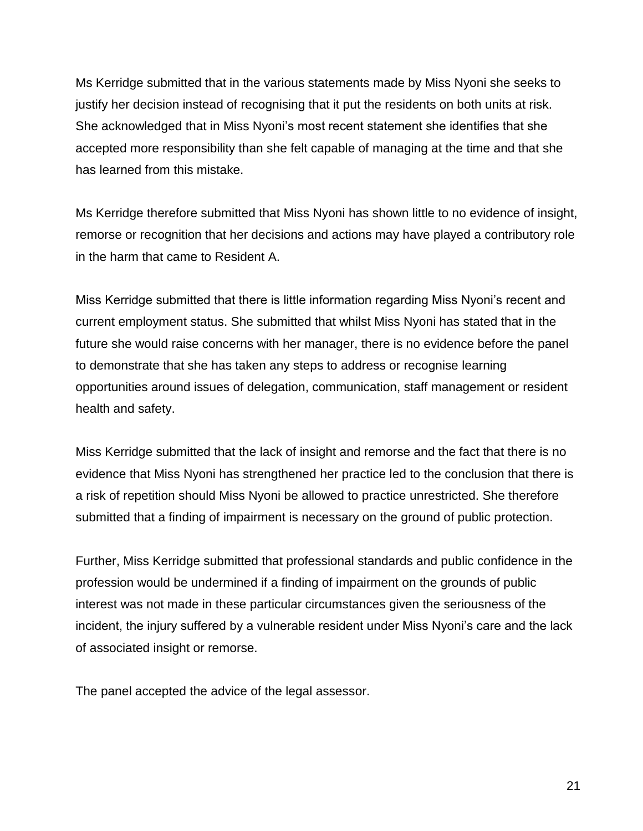Ms Kerridge submitted that in the various statements made by Miss Nyoni she seeks to justify her decision instead of recognising that it put the residents on both units at risk. She acknowledged that in Miss Nyoni's most recent statement she identifies that she accepted more responsibility than she felt capable of managing at the time and that she has learned from this mistake.

Ms Kerridge therefore submitted that Miss Nyoni has shown little to no evidence of insight, remorse or recognition that her decisions and actions may have played a contributory role in the harm that came to Resident A.

Miss Kerridge submitted that there is little information regarding Miss Nyoni's recent and current employment status. She submitted that whilst Miss Nyoni has stated that in the future she would raise concerns with her manager, there is no evidence before the panel to demonstrate that she has taken any steps to address or recognise learning opportunities around issues of delegation, communication, staff management or resident health and safety.

Miss Kerridge submitted that the lack of insight and remorse and the fact that there is no evidence that Miss Nyoni has strengthened her practice led to the conclusion that there is a risk of repetition should Miss Nyoni be allowed to practice unrestricted. She therefore submitted that a finding of impairment is necessary on the ground of public protection.

Further, Miss Kerridge submitted that professional standards and public confidence in the profession would be undermined if a finding of impairment on the grounds of public interest was not made in these particular circumstances given the seriousness of the incident, the injury suffered by a vulnerable resident under Miss Nyoni's care and the lack of associated insight or remorse.

The panel accepted the advice of the legal assessor.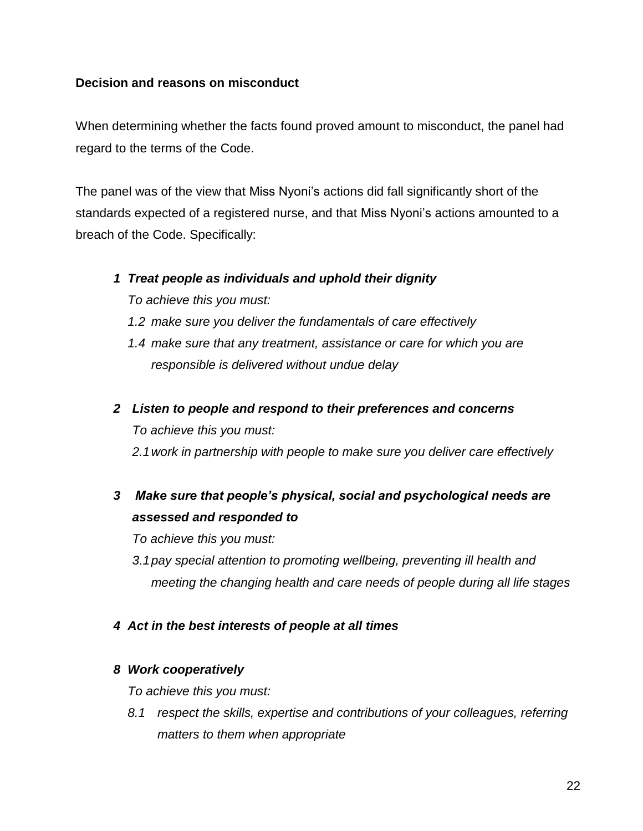#### **Decision and reasons on misconduct**

When determining whether the facts found proved amount to misconduct, the panel had regard to the terms of the Code.

The panel was of the view that Miss Nyoni's actions did fall significantly short of the standards expected of a registered nurse, and that Miss Nyoni's actions amounted to a breach of the Code. Specifically:

#### *1 Treat people as individuals and uphold their dignity*

*To achieve this you must:*

- *1.2 make sure you deliver the fundamentals of care effectively*
- *1.4 make sure that any treatment, assistance or care for which you are responsible is delivered without undue delay*
- *2 Listen to people and respond to their preferences and concerns To achieve this you must: 2.1work in partnership with people to make sure you deliver care effectively*
- *3 Make sure that people's physical, social and psychological needs are assessed and responded to*

*To achieve this you must:*

- *3.1pay special attention to promoting wellbeing, preventing ill health and meeting the changing health and care needs of people during all life stages*
- *4 Act in the best interests of people at all times*

# *8 Work cooperatively*

*To achieve this you must:*

*8.1 respect the skills, expertise and contributions of your colleagues, referring matters to them when appropriate*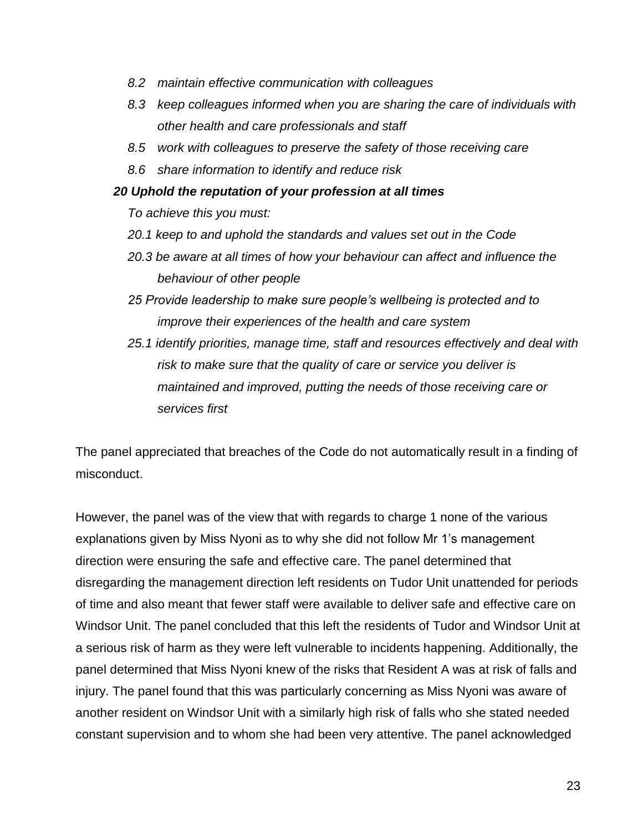- *8.2 maintain effective communication with colleagues*
- *8.3 keep colleagues informed when you are sharing the care of individuals with other health and care professionals and staff*
- *8.5 work with colleagues to preserve the safety of those receiving care*
- *8.6 share information to identify and reduce risk*

#### *20 Uphold the reputation of your profession at all times*

*To achieve this you must:*

- *20.1 keep to and uphold the standards and values set out in the Code*
- *20.3 be aware at all times of how your behaviour can affect and influence the behaviour of other people*
- *25 Provide leadership to make sure people's wellbeing is protected and to improve their experiences of the health and care system*
- *25.1 identify priorities, manage time, staff and resources effectively and deal with risk to make sure that the quality of care or service you deliver is maintained and improved, putting the needs of those receiving care or services first*

The panel appreciated that breaches of the Code do not automatically result in a finding of misconduct.

However, the panel was of the view that with regards to charge 1 none of the various explanations given by Miss Nyoni as to why she did not follow Mr 1's management direction were ensuring the safe and effective care. The panel determined that disregarding the management direction left residents on Tudor Unit unattended for periods of time and also meant that fewer staff were available to deliver safe and effective care on Windsor Unit. The panel concluded that this left the residents of Tudor and Windsor Unit at a serious risk of harm as they were left vulnerable to incidents happening. Additionally, the panel determined that Miss Nyoni knew of the risks that Resident A was at risk of falls and injury. The panel found that this was particularly concerning as Miss Nyoni was aware of another resident on Windsor Unit with a similarly high risk of falls who she stated needed constant supervision and to whom she had been very attentive. The panel acknowledged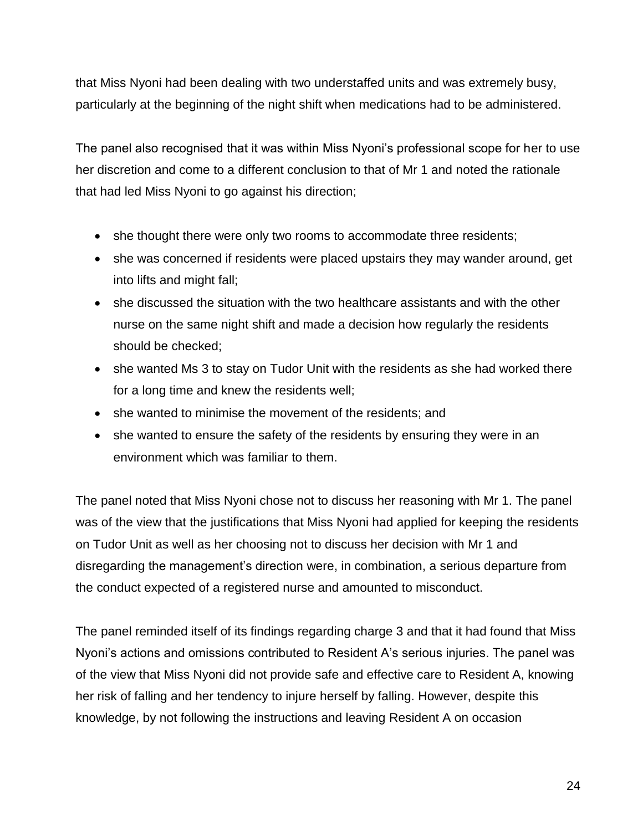that Miss Nyoni had been dealing with two understaffed units and was extremely busy, particularly at the beginning of the night shift when medications had to be administered.

The panel also recognised that it was within Miss Nyoni's professional scope for her to use her discretion and come to a different conclusion to that of Mr 1 and noted the rationale that had led Miss Nyoni to go against his direction;

- she thought there were only two rooms to accommodate three residents;
- she was concerned if residents were placed upstairs they may wander around, get into lifts and might fall;
- she discussed the situation with the two healthcare assistants and with the other nurse on the same night shift and made a decision how regularly the residents should be checked;
- she wanted Ms 3 to stay on Tudor Unit with the residents as she had worked there for a long time and knew the residents well;
- she wanted to minimise the movement of the residents; and
- she wanted to ensure the safety of the residents by ensuring they were in an environment which was familiar to them.

The panel noted that Miss Nyoni chose not to discuss her reasoning with Mr 1. The panel was of the view that the justifications that Miss Nyoni had applied for keeping the residents on Tudor Unit as well as her choosing not to discuss her decision with Mr 1 and disregarding the management's direction were, in combination, a serious departure from the conduct expected of a registered nurse and amounted to misconduct.

The panel reminded itself of its findings regarding charge 3 and that it had found that Miss Nyoni's actions and omissions contributed to Resident A's serious injuries. The panel was of the view that Miss Nyoni did not provide safe and effective care to Resident A, knowing her risk of falling and her tendency to injure herself by falling. However, despite this knowledge, by not following the instructions and leaving Resident A on occasion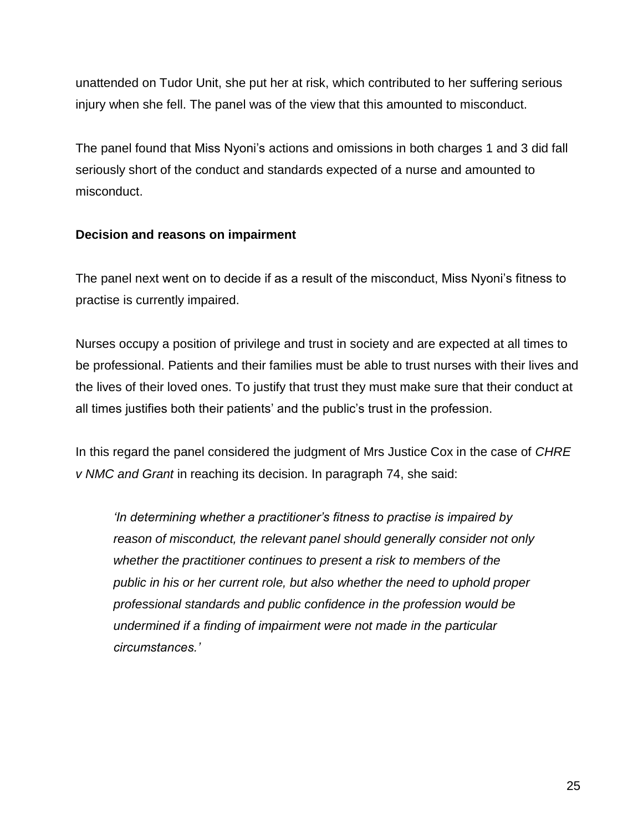unattended on Tudor Unit, she put her at risk, which contributed to her suffering serious injury when she fell. The panel was of the view that this amounted to misconduct.

The panel found that Miss Nyoni's actions and omissions in both charges 1 and 3 did fall seriously short of the conduct and standards expected of a nurse and amounted to misconduct.

# **Decision and reasons on impairment**

The panel next went on to decide if as a result of the misconduct, Miss Nyoni's fitness to practise is currently impaired.

Nurses occupy a position of privilege and trust in society and are expected at all times to be professional. Patients and their families must be able to trust nurses with their lives and the lives of their loved ones. To justify that trust they must make sure that their conduct at all times justifies both their patients' and the public's trust in the profession.

In this regard the panel considered the judgment of Mrs Justice Cox in the case of *CHRE v NMC and Grant* in reaching its decision. In paragraph 74, she said:

*'In determining whether a practitioner's fitness to practise is impaired by reason of misconduct, the relevant panel should generally consider not only whether the practitioner continues to present a risk to members of the public in his or her current role, but also whether the need to uphold proper professional standards and public confidence in the profession would be undermined if a finding of impairment were not made in the particular circumstances.'*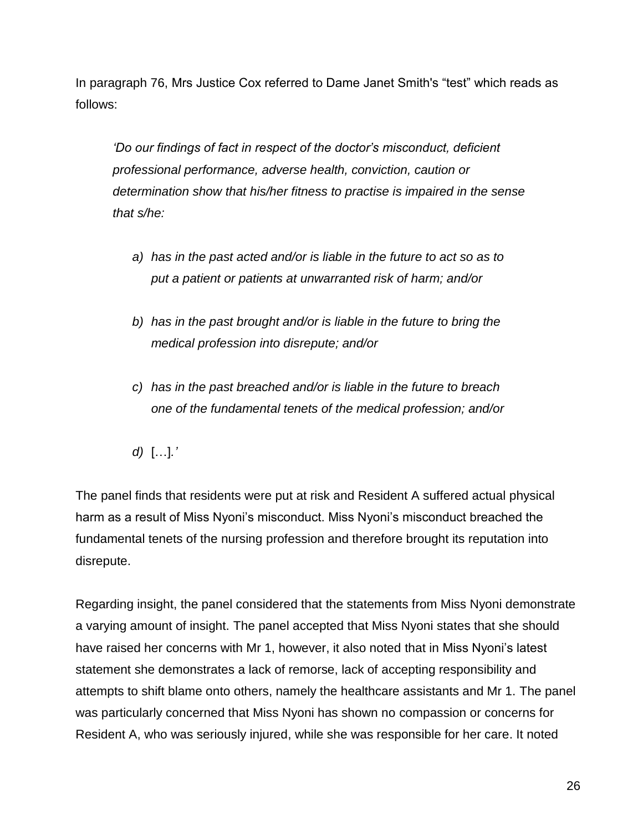In paragraph 76, Mrs Justice Cox referred to Dame Janet Smith's "test" which reads as follows:

*'Do our findings of fact in respect of the doctor's misconduct, deficient professional performance, adverse health, conviction, caution or determination show that his/her fitness to practise is impaired in the sense that s/he:*

- *a) has in the past acted and/or is liable in the future to act so as to put a patient or patients at unwarranted risk of harm; and/or*
- *b) has in the past brought and/or is liable in the future to bring the medical profession into disrepute; and/or*
- *c) has in the past breached and/or is liable in the future to breach one of the fundamental tenets of the medical profession; and/or*

*d)* […]*.'*

The panel finds that residents were put at risk and Resident A suffered actual physical harm as a result of Miss Nyoni's misconduct. Miss Nyoni's misconduct breached the fundamental tenets of the nursing profession and therefore brought its reputation into disrepute.

Regarding insight, the panel considered that the statements from Miss Nyoni demonstrate a varying amount of insight. The panel accepted that Miss Nyoni states that she should have raised her concerns with Mr 1, however, it also noted that in Miss Nyoni's latest statement she demonstrates a lack of remorse, lack of accepting responsibility and attempts to shift blame onto others, namely the healthcare assistants and Mr 1. The panel was particularly concerned that Miss Nyoni has shown no compassion or concerns for Resident A, who was seriously injured, while she was responsible for her care. It noted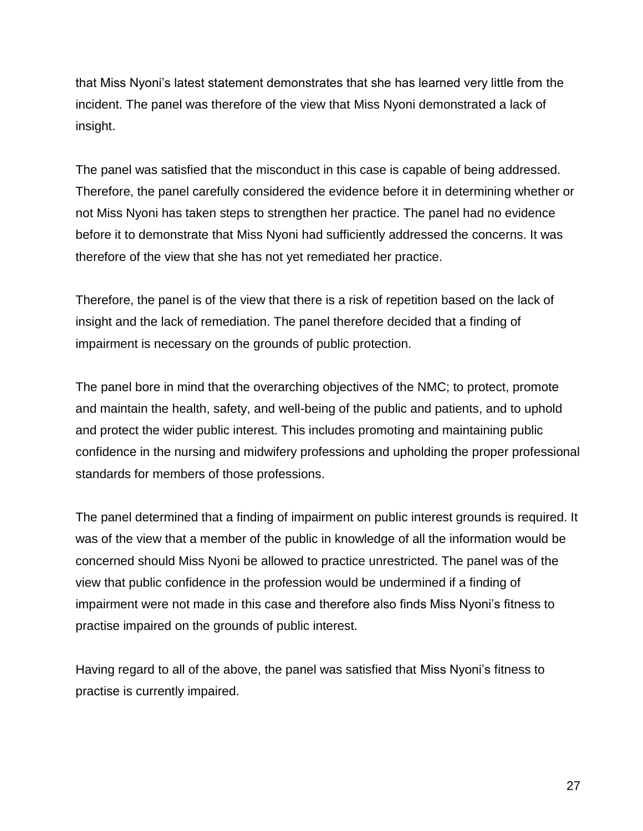that Miss Nyoni's latest statement demonstrates that she has learned very little from the incident. The panel was therefore of the view that Miss Nyoni demonstrated a lack of insight.

The panel was satisfied that the misconduct in this case is capable of being addressed. Therefore, the panel carefully considered the evidence before it in determining whether or not Miss Nyoni has taken steps to strengthen her practice. The panel had no evidence before it to demonstrate that Miss Nyoni had sufficiently addressed the concerns. It was therefore of the view that she has not yet remediated her practice.

Therefore, the panel is of the view that there is a risk of repetition based on the lack of insight and the lack of remediation. The panel therefore decided that a finding of impairment is necessary on the grounds of public protection.

The panel bore in mind that the overarching objectives of the NMC; to protect, promote and maintain the health, safety, and well-being of the public and patients, and to uphold and protect the wider public interest. This includes promoting and maintaining public confidence in the nursing and midwifery professions and upholding the proper professional standards for members of those professions.

The panel determined that a finding of impairment on public interest grounds is required. It was of the view that a member of the public in knowledge of all the information would be concerned should Miss Nyoni be allowed to practice unrestricted. The panel was of the view that public confidence in the profession would be undermined if a finding of impairment were not made in this case and therefore also finds Miss Nyoni's fitness to practise impaired on the grounds of public interest.

Having regard to all of the above, the panel was satisfied that Miss Nyoni's fitness to practise is currently impaired.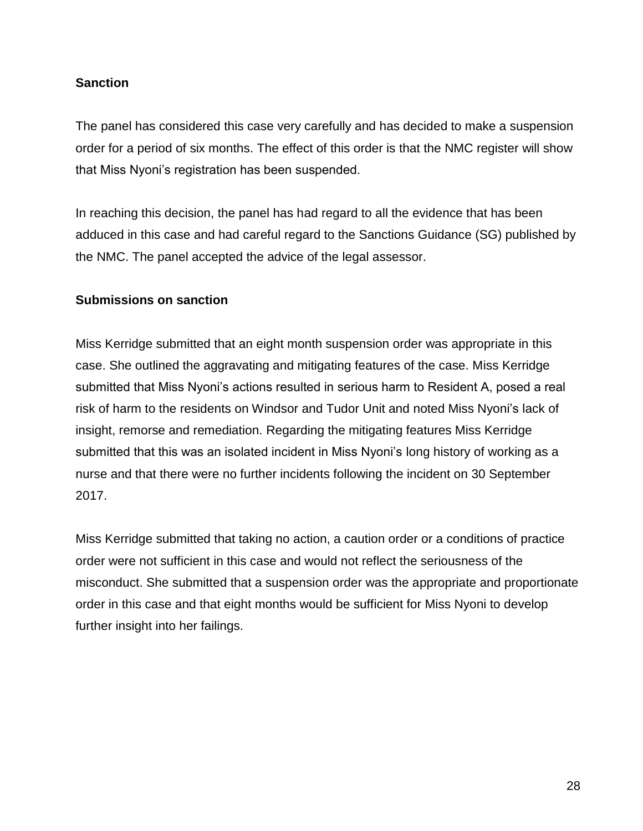# **Sanction**

The panel has considered this case very carefully and has decided to make a suspension order for a period of six months. The effect of this order is that the NMC register will show that Miss Nyoni's registration has been suspended.

In reaching this decision, the panel has had regard to all the evidence that has been adduced in this case and had careful regard to the Sanctions Guidance (SG) published by the NMC. The panel accepted the advice of the legal assessor.

#### **Submissions on sanction**

Miss Kerridge submitted that an eight month suspension order was appropriate in this case. She outlined the aggravating and mitigating features of the case. Miss Kerridge submitted that Miss Nyoni's actions resulted in serious harm to Resident A, posed a real risk of harm to the residents on Windsor and Tudor Unit and noted Miss Nyoni's lack of insight, remorse and remediation. Regarding the mitigating features Miss Kerridge submitted that this was an isolated incident in Miss Nyoni's long history of working as a nurse and that there were no further incidents following the incident on 30 September 2017.

Miss Kerridge submitted that taking no action, a caution order or a conditions of practice order were not sufficient in this case and would not reflect the seriousness of the misconduct. She submitted that a suspension order was the appropriate and proportionate order in this case and that eight months would be sufficient for Miss Nyoni to develop further insight into her failings.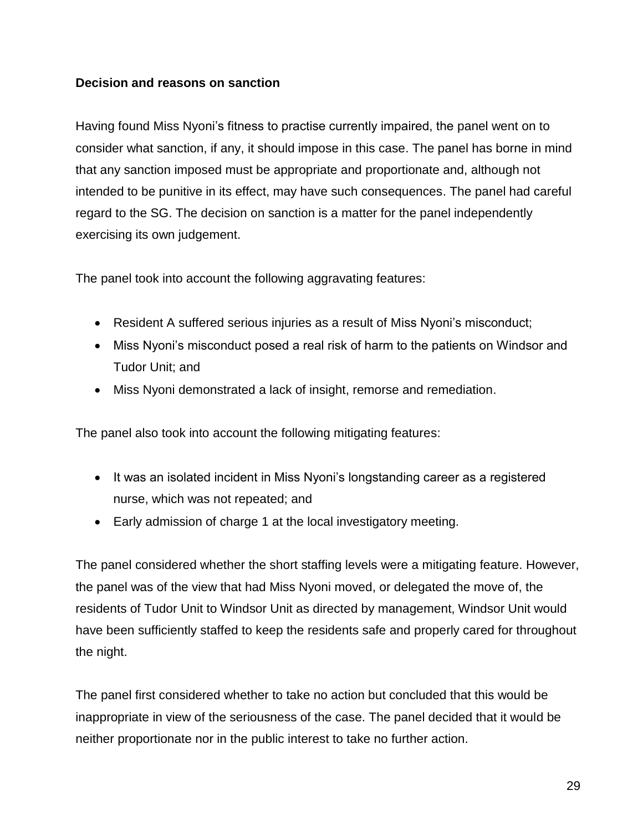## **Decision and reasons on sanction**

Having found Miss Nyoni's fitness to practise currently impaired, the panel went on to consider what sanction, if any, it should impose in this case. The panel has borne in mind that any sanction imposed must be appropriate and proportionate and, although not intended to be punitive in its effect, may have such consequences. The panel had careful regard to the SG. The decision on sanction is a matter for the panel independently exercising its own judgement.

The panel took into account the following aggravating features:

- Resident A suffered serious injuries as a result of Miss Nyoni's misconduct;
- Miss Nyoni's misconduct posed a real risk of harm to the patients on Windsor and Tudor Unit; and
- Miss Nyoni demonstrated a lack of insight, remorse and remediation.

The panel also took into account the following mitigating features:

- It was an isolated incident in Miss Nyoni's longstanding career as a registered nurse, which was not repeated; and
- Early admission of charge 1 at the local investigatory meeting.

The panel considered whether the short staffing levels were a mitigating feature. However, the panel was of the view that had Miss Nyoni moved, or delegated the move of, the residents of Tudor Unit to Windsor Unit as directed by management, Windsor Unit would have been sufficiently staffed to keep the residents safe and properly cared for throughout the night.

The panel first considered whether to take no action but concluded that this would be inappropriate in view of the seriousness of the case. The panel decided that it would be neither proportionate nor in the public interest to take no further action.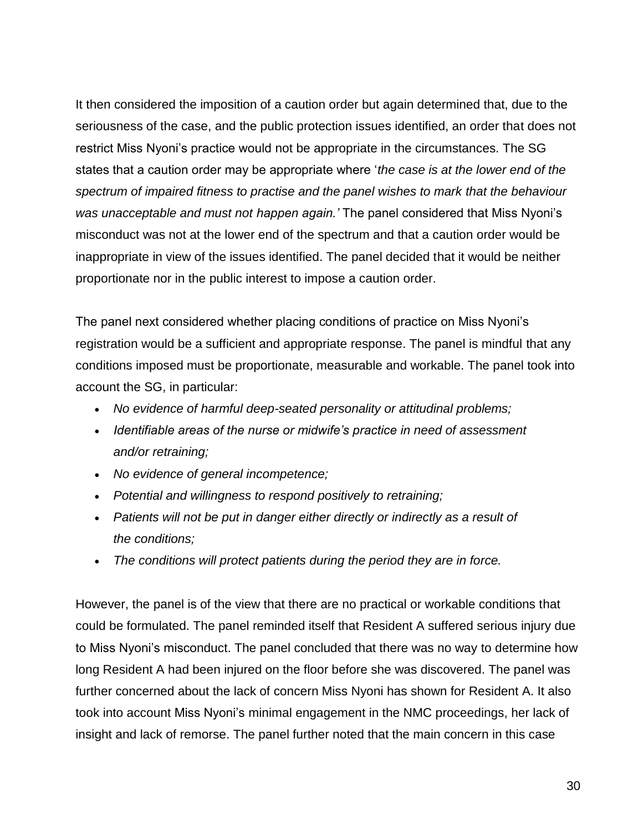It then considered the imposition of a caution order but again determined that, due to the seriousness of the case, and the public protection issues identified, an order that does not restrict Miss Nyoni's practice would not be appropriate in the circumstances. The SG states that a caution order may be appropriate where '*the case is at the lower end of the spectrum of impaired fitness to practise and the panel wishes to mark that the behaviour was unacceptable and must not happen again.'* The panel considered that Miss Nyoni's misconduct was not at the lower end of the spectrum and that a caution order would be inappropriate in view of the issues identified. The panel decided that it would be neither proportionate nor in the public interest to impose a caution order.

The panel next considered whether placing conditions of practice on Miss Nyoni's registration would be a sufficient and appropriate response. The panel is mindful that any conditions imposed must be proportionate, measurable and workable. The panel took into account the SG, in particular:

- *No evidence of harmful deep-seated personality or attitudinal problems;*
- *Identifiable areas of the nurse or midwife's practice in need of assessment and/or retraining;*
- *No evidence of general incompetence;*
- *Potential and willingness to respond positively to retraining;*
- *Patients will not be put in danger either directly or indirectly as a result of the conditions;*
- *The conditions will protect patients during the period they are in force.*

However, the panel is of the view that there are no practical or workable conditions that could be formulated. The panel reminded itself that Resident A suffered serious injury due to Miss Nyoni's misconduct. The panel concluded that there was no way to determine how long Resident A had been injured on the floor before she was discovered. The panel was further concerned about the lack of concern Miss Nyoni has shown for Resident A. It also took into account Miss Nyoni's minimal engagement in the NMC proceedings, her lack of insight and lack of remorse. The panel further noted that the main concern in this case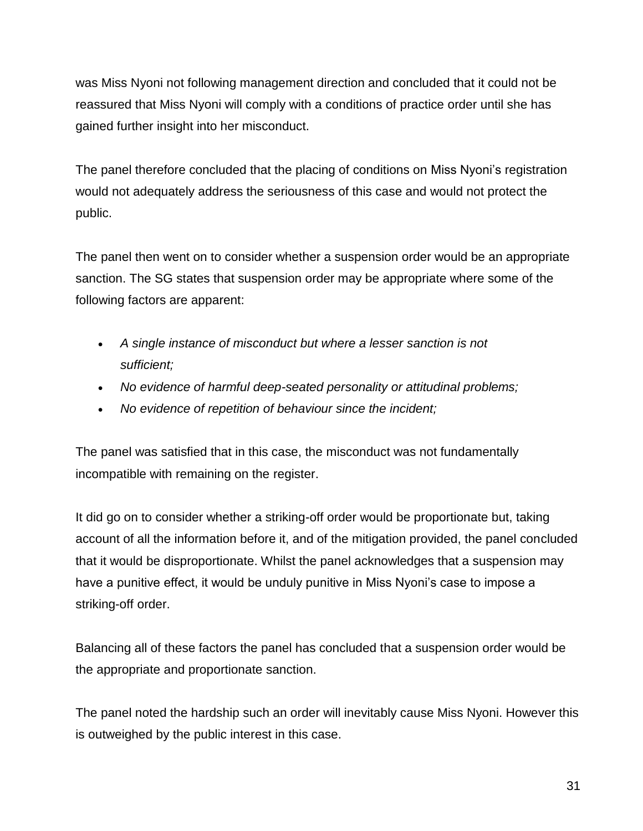was Miss Nyoni not following management direction and concluded that it could not be reassured that Miss Nyoni will comply with a conditions of practice order until she has gained further insight into her misconduct.

The panel therefore concluded that the placing of conditions on Miss Nyoni's registration would not adequately address the seriousness of this case and would not protect the public.

The panel then went on to consider whether a suspension order would be an appropriate sanction. The SG states that suspension order may be appropriate where some of the following factors are apparent:

- *A single instance of misconduct but where a lesser sanction is not sufficient;*
- *No evidence of harmful deep-seated personality or attitudinal problems;*
- *No evidence of repetition of behaviour since the incident;*

The panel was satisfied that in this case, the misconduct was not fundamentally incompatible with remaining on the register.

It did go on to consider whether a striking-off order would be proportionate but, taking account of all the information before it, and of the mitigation provided, the panel concluded that it would be disproportionate. Whilst the panel acknowledges that a suspension may have a punitive effect, it would be unduly punitive in Miss Nyoni's case to impose a striking-off order.

Balancing all of these factors the panel has concluded that a suspension order would be the appropriate and proportionate sanction.

The panel noted the hardship such an order will inevitably cause Miss Nyoni. However this is outweighed by the public interest in this case.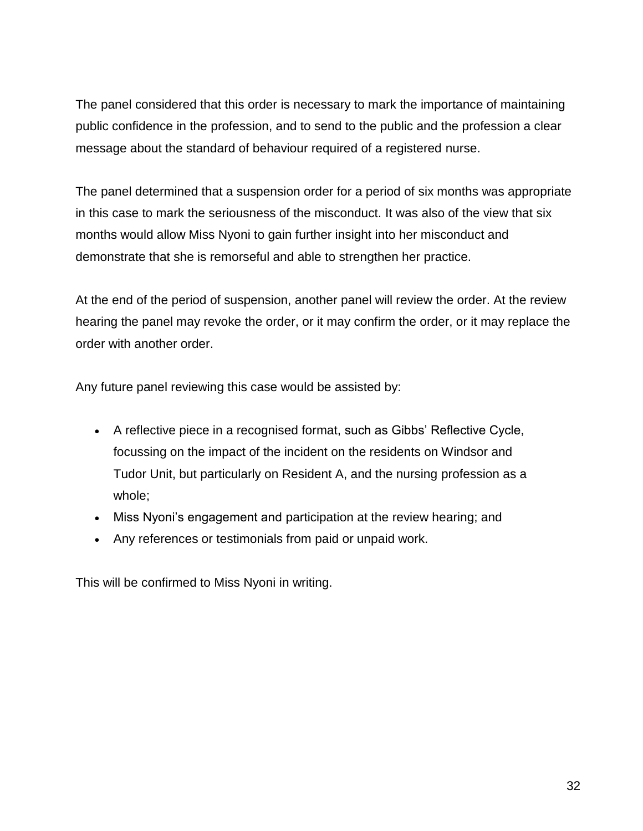The panel considered that this order is necessary to mark the importance of maintaining public confidence in the profession, and to send to the public and the profession a clear message about the standard of behaviour required of a registered nurse.

The panel determined that a suspension order for a period of six months was appropriate in this case to mark the seriousness of the misconduct. It was also of the view that six months would allow Miss Nyoni to gain further insight into her misconduct and demonstrate that she is remorseful and able to strengthen her practice.

At the end of the period of suspension, another panel will review the order. At the review hearing the panel may revoke the order, or it may confirm the order, or it may replace the order with another order.

Any future panel reviewing this case would be assisted by:

- A reflective piece in a recognised format, such as Gibbs' Reflective Cycle, focussing on the impact of the incident on the residents on Windsor and Tudor Unit, but particularly on Resident A, and the nursing profession as a whole;
- Miss Nyoni's engagement and participation at the review hearing; and
- Any references or testimonials from paid or unpaid work.

This will be confirmed to Miss Nyoni in writing.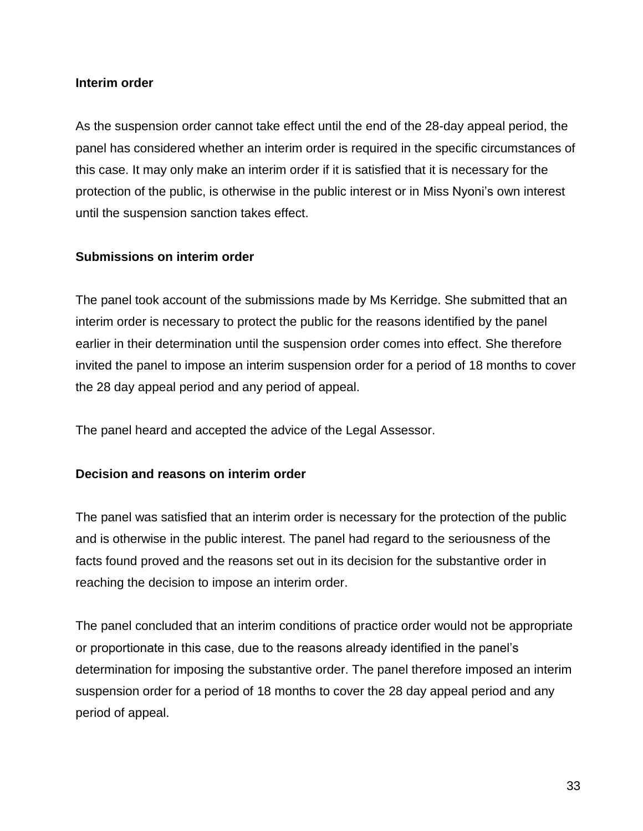#### **Interim order**

As the suspension order cannot take effect until the end of the 28-day appeal period, the panel has considered whether an interim order is required in the specific circumstances of this case. It may only make an interim order if it is satisfied that it is necessary for the protection of the public, is otherwise in the public interest or in Miss Nyoni's own interest until the suspension sanction takes effect.

#### **Submissions on interim order**

The panel took account of the submissions made by Ms Kerridge. She submitted that an interim order is necessary to protect the public for the reasons identified by the panel earlier in their determination until the suspension order comes into effect. She therefore invited the panel to impose an interim suspension order for a period of 18 months to cover the 28 day appeal period and any period of appeal.

The panel heard and accepted the advice of the Legal Assessor.

#### **Decision and reasons on interim order**

The panel was satisfied that an interim order is necessary for the protection of the public and is otherwise in the public interest. The panel had regard to the seriousness of the facts found proved and the reasons set out in its decision for the substantive order in reaching the decision to impose an interim order.

The panel concluded that an interim conditions of practice order would not be appropriate or proportionate in this case, due to the reasons already identified in the panel's determination for imposing the substantive order. The panel therefore imposed an interim suspension order for a period of 18 months to cover the 28 day appeal period and any period of appeal.